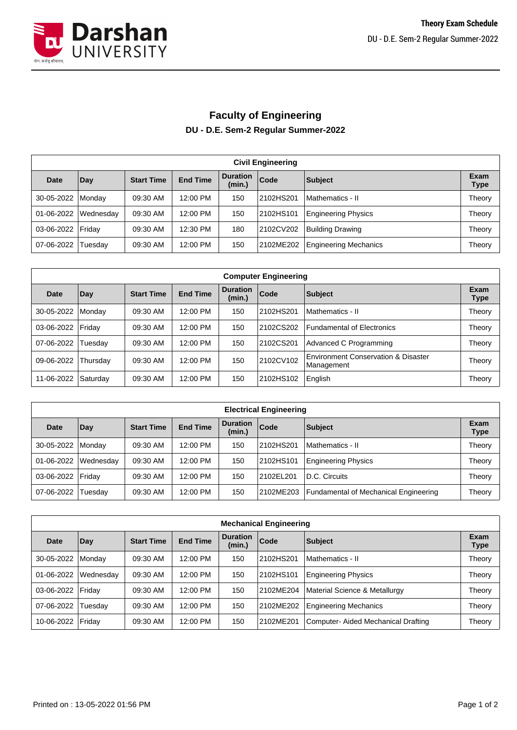

## **Faculty of Engineering DU - D.E. Sem-2 Regular Summer-2022**

| <b>Civil Engineering</b> |           |                   |                 |                           |           |                              |                     |  |  |
|--------------------------|-----------|-------------------|-----------------|---------------------------|-----------|------------------------------|---------------------|--|--|
| <b>Date</b>              | Day       | <b>Start Time</b> | <b>End Time</b> | <b>Duration</b><br>(min.) | Code      | <b>Subject</b>               | Exam<br><b>Type</b> |  |  |
| 30-05-2022               | Monday    | 09:30 AM          | 12:00 PM        | 150                       | 2102HS201 | Mathematics - II             | Theory              |  |  |
| 01-06-2022               | Wednesday | 09:30 AM          | 12:00 PM        | 150                       | 2102HS101 | <b>Engineering Physics</b>   | Theory              |  |  |
| 03-06-2022   Friday      |           | 09:30 AM          | 12:30 PM        | 180                       | 2102CV202 | Building Drawing             | Theory              |  |  |
| 07-06-2022               | Tuesday   | 09:30 AM          | 12:00 PM        | 150                       | 2102ME202 | <b>Engineering Mechanics</b> | Theory              |  |  |

| <b>Computer Engineering</b> |          |                   |                 |                           |            |                                                   |                     |  |  |
|-----------------------------|----------|-------------------|-----------------|---------------------------|------------|---------------------------------------------------|---------------------|--|--|
| Date                        | Day      | <b>Start Time</b> | <b>End Time</b> | <b>Duration</b><br>(min.) | Code       | Subject                                           | Exam<br><b>Type</b> |  |  |
| 30-05-2022                  | Monday   | 09:30 AM          | 12:00 PM        | 150                       | 12102HS201 | Mathematics - II                                  | Theory              |  |  |
| 03-06-2022                  | Friday   | 09:30 AM          | 12:00 PM        | 150                       | 2102CS202  | <b>Fundamental of Electronics</b>                 | Theory              |  |  |
| 07-06-2022                  | Tuesdav  | 09:30 AM          | 12:00 PM        | 150                       | 2102CS201  | Advanced C Programming                            | Theory              |  |  |
| 09-06-2022                  | Thursday | 09:30 AM          | 12:00 PM        | 150                       | 2102CV102  | Environment Conservation & Disaster<br>Management | Theory              |  |  |
| 11-06-2022                  | Saturday | 09:30 AM          | 12:00 PM        | 150                       | 2102HS102  | English                                           | Theory              |  |  |

| <b>Electrical Engineering</b> |                |                   |                 |                           |           |                                       |              |  |  |
|-------------------------------|----------------|-------------------|-----------------|---------------------------|-----------|---------------------------------------|--------------|--|--|
| Date                          | Day            | <b>Start Time</b> | <b>End Time</b> | <b>Duration</b><br>(min.) | Code      | Subject                               | Exam<br>Type |  |  |
| 30-05-2022                    | <b>IMondav</b> | 09:30 AM          | 12:00 PM        | 150                       | 2102HS201 | l Mathematics - II                    | Theory       |  |  |
| 01-06-2022                    | Wednesday      | 09:30 AM          | 12:00 PM        | 150                       | 2102HS101 | <b>Engineering Physics</b>            | Theory       |  |  |
| 03-06-2022 Friday             |                | 09:30 AM          | 12:00 PM        | 150                       | 2102EL201 | D.C. Circuits                         | Theory       |  |  |
| 07-06-2022                    | Tuesday        | 09:30 AM          | 12:00 PM        | 150                       | 2102ME203 | Fundamental of Mechanical Engineering | Theory       |  |  |

| <b>Mechanical Engineering</b> |           |                   |                 |                           |           |                                    |                     |  |  |
|-------------------------------|-----------|-------------------|-----------------|---------------------------|-----------|------------------------------------|---------------------|--|--|
| Date                          | Day       | <b>Start Time</b> | <b>End Time</b> | <b>Duration</b><br>(min.) | Code      | Subject                            | Exam<br><b>Type</b> |  |  |
| 30-05-2022                    | Mondav    | 09:30 AM          | 12:00 PM        | 150                       | 2102HS201 | Mathematics - II                   | Theory              |  |  |
| 01-06-2022                    | Wednesday | 09:30 AM          | 12:00 PM        | 150                       | 2102HS101 | <b>Engineering Physics</b>         | Theory              |  |  |
| 03-06-2022                    | Fridav    | 09:30 AM          | 12:00 PM        | 150                       | 2102ME204 | Material Science & Metallurgy      | Theory              |  |  |
| 07-06-2022                    | Tuesdav   | 09:30 AM          | 12:00 PM        | 150                       | 2102ME202 | <b>Engineering Mechanics</b>       | Theory              |  |  |
| 10-06-2022                    | Friday    | 09:30 AM          | 12:00 PM        | 150                       | 2102ME201 | Computer-Aided Mechanical Drafting | Theory              |  |  |